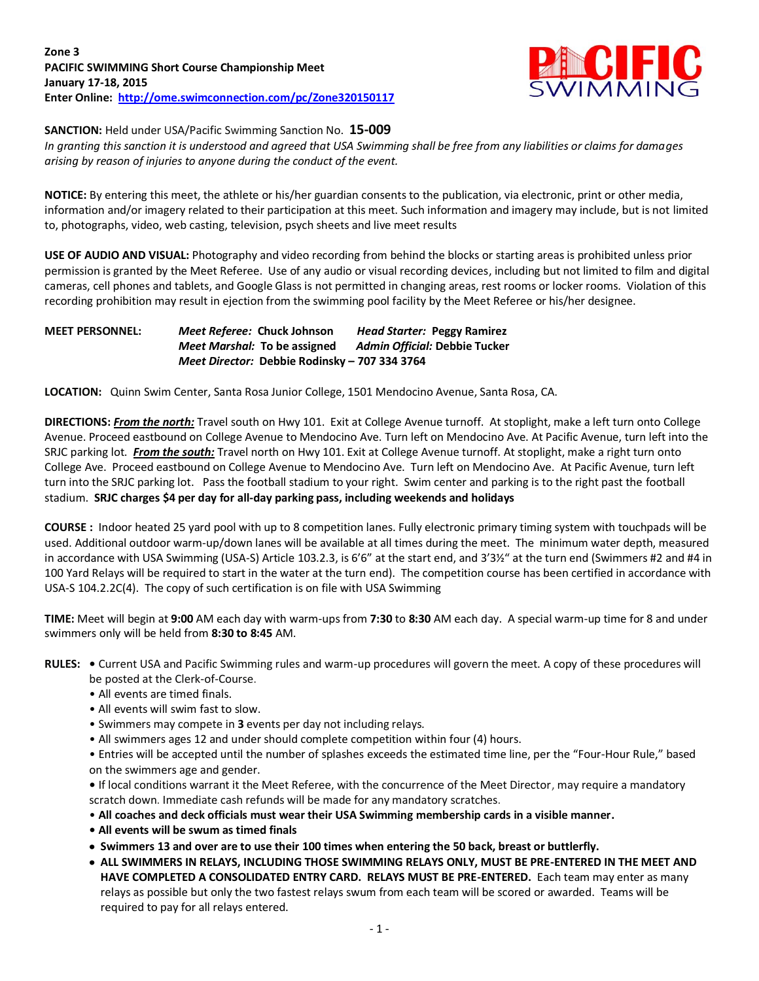

**SANCTION:** Held under USA/Pacific Swimming Sanction No. **15-009**

*In granting this sanction it is understood and agreed that USA Swimming shall be free from any liabilities or claims for damages arising by reason of injuries to anyone during the conduct of the event.*

**NOTICE:** By entering this meet, the athlete or his/her guardian consents to the publication, via electronic, print or other media, information and/or imagery related to their participation at this meet. Such information and imagery may include, but is not limited to, photographs, video, web casting, television, psych sheets and live meet results

**USE OF AUDIO AND VISUAL:** Photography and video recording from behind the blocks or starting areas is prohibited unless prior permission is granted by the Meet Referee. Use of any audio or visual recording devices, including but not limited to film and digital cameras, cell phones and tablets, and Google Glass is not permitted in changing areas, rest rooms or locker rooms. Violation of this recording prohibition may result in ejection from the swimming pool facility by the Meet Referee or his/her designee.

## **MEET PERSONNEL:** *Meet Referee:* **Chuck Johnson** *Head Starter:* **Peggy Ramirez** *Meet Marshal:* **To be assigned** *Admin Official:* **Debbie Tucker** *Meet Director:* **Debbie Rodinsky – 707 334 3764**

**LOCATION:** Quinn Swim Center, Santa Rosa Junior College, 1501 Mendocino Avenue, Santa Rosa, CA.

**DIRECTIONS:** *From the north:* Travel south on Hwy 101. Exit at College Avenue turnoff. At stoplight, make a left turn onto College Avenue. Proceed eastbound on College Avenue to Mendocino Ave. Turn left on Mendocino Ave. At Pacific Avenue, turn left into the SRJC parking lot. *From the south:* Travel north on Hwy 101. Exit at College Avenue turnoff. At stoplight, make a right turn onto College Ave. Proceed eastbound on College Avenue to Mendocino Ave. Turn left on Mendocino Ave. At Pacific Avenue, turn left turn into the SRJC parking lot. Pass the football stadium to your right. Swim center and parking is to the right past the football stadium. **SRJC charges \$4 per day for all-day parking pass, including weekends and holidays**

**COURSE :** Indoor heated 25 yard pool with up to 8 competition lanes. Fully electronic primary timing system with touchpads will be used. Additional outdoor warm-up/down lanes will be available at all times during the meet. The minimum water depth, measured in accordance with USA Swimming (USA-S) Article 103.2.3, is 6'6" at the start end, and 3'3½" at the turn end (Swimmers #2 and #4 in 100 Yard Relays will be required to start in the water at the turn end). The competition course has been certified in accordance with USA-S 104.2.2C(4). The copy of such certification is on file with USA Swimming

**TIME:** Meet will begin at **9:00** AM each day with warm-ups from **7:30** to **8:30** AM each day. A special warm-up time for 8 and under swimmers only will be held from **8:30 to 8:45** AM.

- **RULES:** Current USA and Pacific Swimming rules and warm-up procedures will govern the meet. A copy of these procedures will be posted at the Clerk-of-Course.
	- All events are timed finals.
	- All events will swim fast to slow.
	- Swimmers may compete in **3** events per day not including relays.
	- All swimmers ages 12 and under should complete competition within four (4) hours.

• Entries will be accepted until the number of splashes exceeds the estimated time line, per the "Four-Hour Rule," based on the swimmers age and gender.

**•** If local conditions warrant it the Meet Referee, with the concurrence of the Meet Director, may require a mandatory scratch down. Immediate cash refunds will be made for any mandatory scratches.

- **All coaches and deck officials must wear their USA Swimming membership cards in a visible manner.**
- **All events will be swum as timed finals**
- **Swimmers 13 and over are to use their 100 times when entering the 50 back, breast or buttlerfly.**
- **ALL SWIMMERS IN RELAYS, INCLUDING THOSE SWIMMING RELAYS ONLY, MUST BE PRE-ENTERED IN THE MEET AND HAVE COMPLETED A CONSOLIDATED ENTRY CARD. RELAYS MUST BE PRE-ENTERED.** Each team may enter as many relays as possible but only the two fastest relays swum from each team will be scored or awarded. Teams will be required to pay for all relays entered.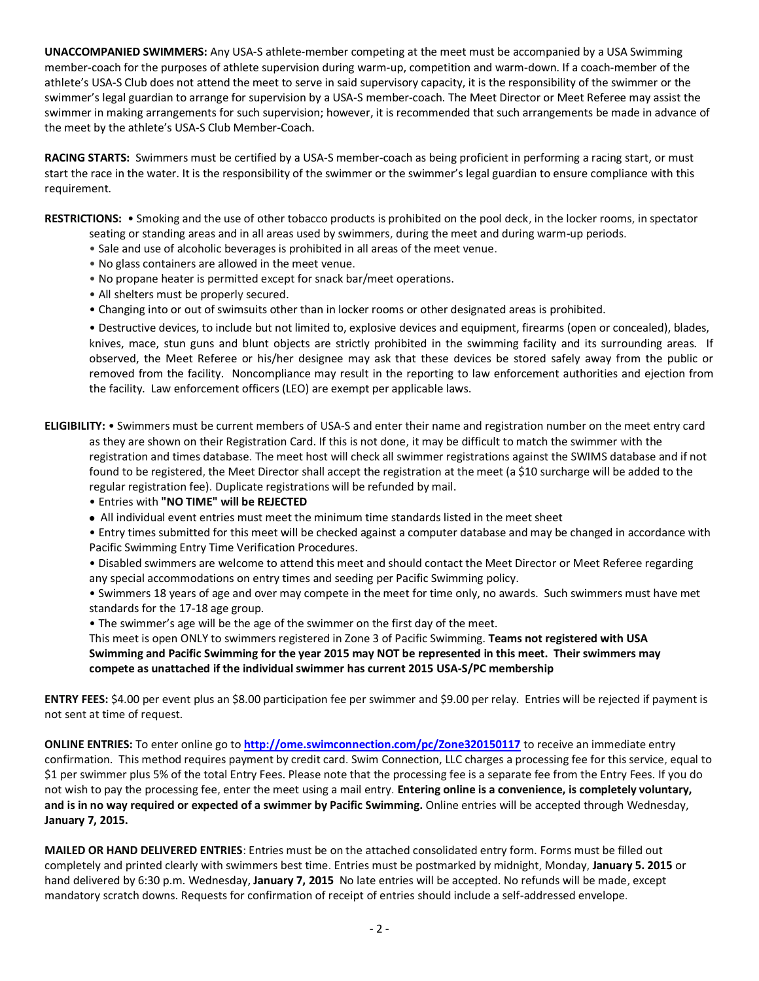**UNACCOMPANIED SWIMMERS:** Any USA-S athlete-member competing at the meet must be accompanied by a USA Swimming member-coach for the purposes of athlete supervision during warm-up, competition and warm-down. If a coach-member of the athlete's USA-S Club does not attend the meet to serve in said supervisory capacity, it is the responsibility of the swimmer or the swimmer's legal guardian to arrange for supervision by a USA-S member-coach. The Meet Director or Meet Referee may assist the swimmer in making arrangements for such supervision; however, it is recommended that such arrangements be made in advance of the meet by the athlete's USA-S Club Member-Coach.

**RACING STARTS:** Swimmers must be certified by a USA-S member-coach as being proficient in performing a racing start, or must start the race in the water. It is the responsibility of the swimmer or the swimmer's legal guardian to ensure compliance with this requirement.

**RESTRICTIONS:** • Smoking and the use of other tobacco products is prohibited on the pool deck, in the locker rooms, in spectator

- seating or standing areas and in all areas used by swimmers, during the meet and during warm-up periods.
- Sale and use of alcoholic beverages is prohibited in all areas of the meet venue.
- No glass containers are allowed in the meet venue.
- No propane heater is permitted except for snack bar/meet operations.
- All shelters must be properly secured.
- Changing into or out of swimsuits other than in locker rooms or other designated areas is prohibited.

• Destructive devices, to include but not limited to, explosive devices and equipment, firearms (open or concealed), blades, knives, mace, stun guns and blunt objects are strictly prohibited in the swimming facility and its surrounding areas. If observed, the Meet Referee or his/her designee may ask that these devices be stored safely away from the public or removed from the facility. Noncompliance may result in the reporting to law enforcement authorities and ejection from the facility. Law enforcement officers (LEO) are exempt per applicable laws.

**ELIGIBILITY:** • Swimmers must be current members of USA-S and enter their name and registration number on the meet entry card as they are shown on their Registration Card. If this is not done, it may be difficult to match the swimmer with the registration and times database. The meet host will check all swimmer registrations against the SWIMS database and if not found to be registered, the Meet Director shall accept the registration at the meet (a \$10 surcharge will be added to the regular registration fee). Duplicate registrations will be refunded by mail.

- Entries with **"NO TIME" will be REJECTED**
- All individual event entries must meet the minimum time standards listed in the meet sheet
- Entry times submitted for this meet will be checked against a computer database and may be changed in accordance with Pacific Swimming Entry Time Verification Procedures.
- Disabled swimmers are welcome to attend this meet and should contact the Meet Director or Meet Referee regarding any special accommodations on entry times and seeding per Pacific Swimming policy.

• Swimmers 18 years of age and over may compete in the meet for time only, no awards. Such swimmers must have met standards for the 17-18 age group.

• The swimmer's age will be the age of the swimmer on the first day of the meet.

This meet is open ONLY to swimmers registered in Zone 3 of Pacific Swimming. **Teams not registered with USA Swimming and Pacific Swimming for the year 2015 may NOT be represented in this meet. Their swimmers may compete as unattached if the individual swimmer has current 2015 USA-S/PC membership**

**ENTRY FEES:** \$4.00 per event plus an \$8.00 participation fee per swimmer and \$9.00 per relay. Entries will be rejected if payment is not sent at time of request.

**ONLINE ENTRIES:** To enter online go to **<http://ome.swimconnection.com/pc/Zone320150117>** to receive an immediate entry confirmation. This method requires payment by credit card. Swim Connection, LLC charges a processing fee for this service, equal to \$1 per swimmer plus 5% of the total Entry Fees. Please note that the processing fee is a separate fee from the Entry Fees. If you do not wish to pay the processing fee, enter the meet using a mail entry. **Entering online is a convenience, is completely voluntary, and is in no way required or expected of a swimmer by Pacific Swimming.** Online entries will be accepted through Wednesday, **January 7, 2015.**

**MAILED OR HAND DELIVERED ENTRIES**: Entries must be on the attached consolidated entry form. Forms must be filled out completely and printed clearly with swimmers best time. Entries must be postmarked by midnight, Monday, **January 5. 2015** or hand delivered by 6:30 p.m. Wednesday, **January 7, 2015** No late entries will be accepted. No refunds will be made, except mandatory scratch downs. Requests for confirmation of receipt of entries should include a self-addressed envelope.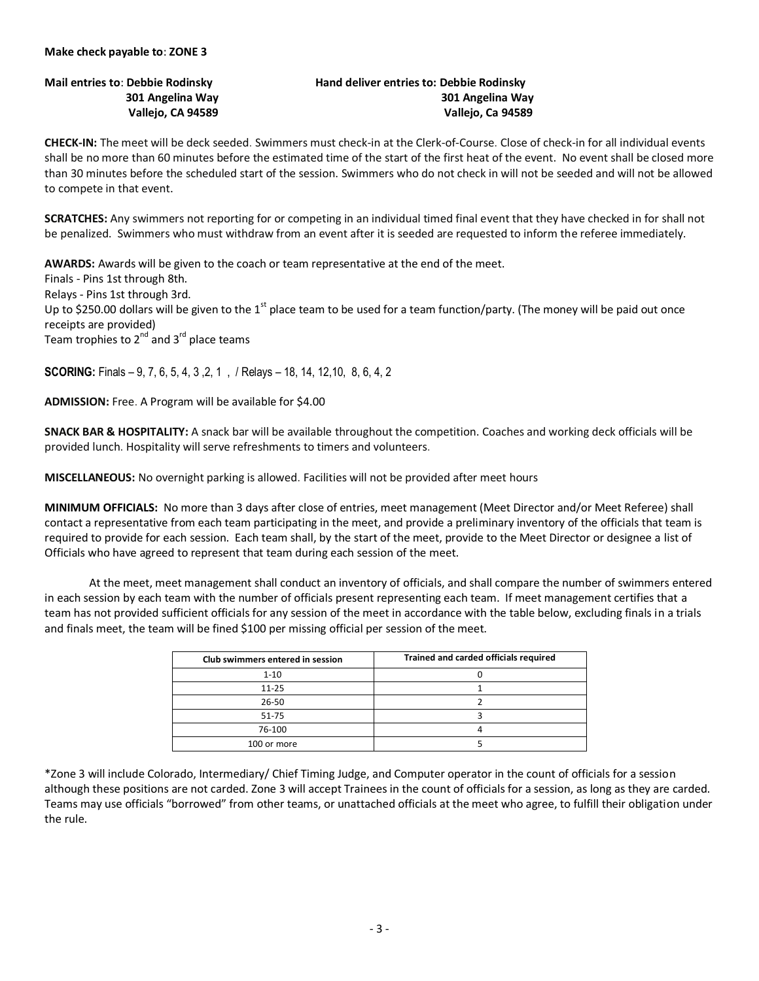## **Mail entries to**: **Debbie Rodinsky Hand deliver entries to: Debbie Rodinsky 301 Angelina Way 301 Angelina Way Vallejo, CA 94589 Vallejo, Ca 94589**

**CHECK-IN:** The meet will be deck seeded. Swimmers must check-in at the Clerk-of-Course. Close of check-in for all individual events shall be no more than 60 minutes before the estimated time of the start of the first heat of the event. No event shall be closed more than 30 minutes before the scheduled start of the session. Swimmers who do not check in will not be seeded and will not be allowed to compete in that event.

**SCRATCHES:** Any swimmers not reporting for or competing in an individual timed final event that they have checked in for shall not be penalized. Swimmers who must withdraw from an event after it is seeded are requested to inform the referee immediately.

**AWARDS:** Awards will be given to the coach or team representative at the end of the meet. Finals - Pins 1st through 8th. Relays - Pins 1st through 3rd. Up to \$250.00 dollars will be given to the 1<sup>st</sup> place team to be used for a team function/party. (The money will be paid out once receipts are provided) Team trophies to  $2^{nd}$  and  $3^{rd}$  place teams

**SCORING:** Finals – 9, 7, 6, 5, 4, 3 ,2, 1 , / Relays – 18, 14, 12,10, 8, 6, 4, 2

**ADMISSION:** Free. A Program will be available for \$4.00

**SNACK BAR & HOSPITALITY:** A snack bar will be available throughout the competition. Coaches and working deck officials will be provided lunch. Hospitality will serve refreshments to timers and volunteers.

**MISCELLANEOUS:** No overnight parking is allowed. Facilities will not be provided after meet hours

**MINIMUM OFFICIALS:** No more than 3 days after close of entries, meet management (Meet Director and/or Meet Referee) shall contact a representative from each team participating in the meet, and provide a preliminary inventory of the officials that team is required to provide for each session. Each team shall, by the start of the meet, provide to the Meet Director or designee a list of Officials who have agreed to represent that team during each session of the meet.

At the meet, meet management shall conduct an inventory of officials, and shall compare the number of swimmers entered in each session by each team with the number of officials present representing each team. If meet management certifies that a team has not provided sufficient officials for any session of the meet in accordance with the table below, excluding finals in a trials and finals meet, the team will be fined \$100 per missing official per session of the meet.

| Club swimmers entered in session | Trained and carded officials required |
|----------------------------------|---------------------------------------|
| $1 - 10$                         |                                       |
| $11 - 25$                        |                                       |
| $26 - 50$                        |                                       |
| 51-75                            |                                       |
| 76-100                           |                                       |
| 100 or more                      |                                       |

\*Zone 3 will include Colorado, Intermediary/ Chief Timing Judge, and Computer operator in the count of officials for a session although these positions are not carded. Zone 3 will accept Trainees in the count of officials for a session, as long as they are carded. Teams may use officials "borrowed" from other teams, or unattached officials at the meet who agree, to fulfill their obligation under the rule.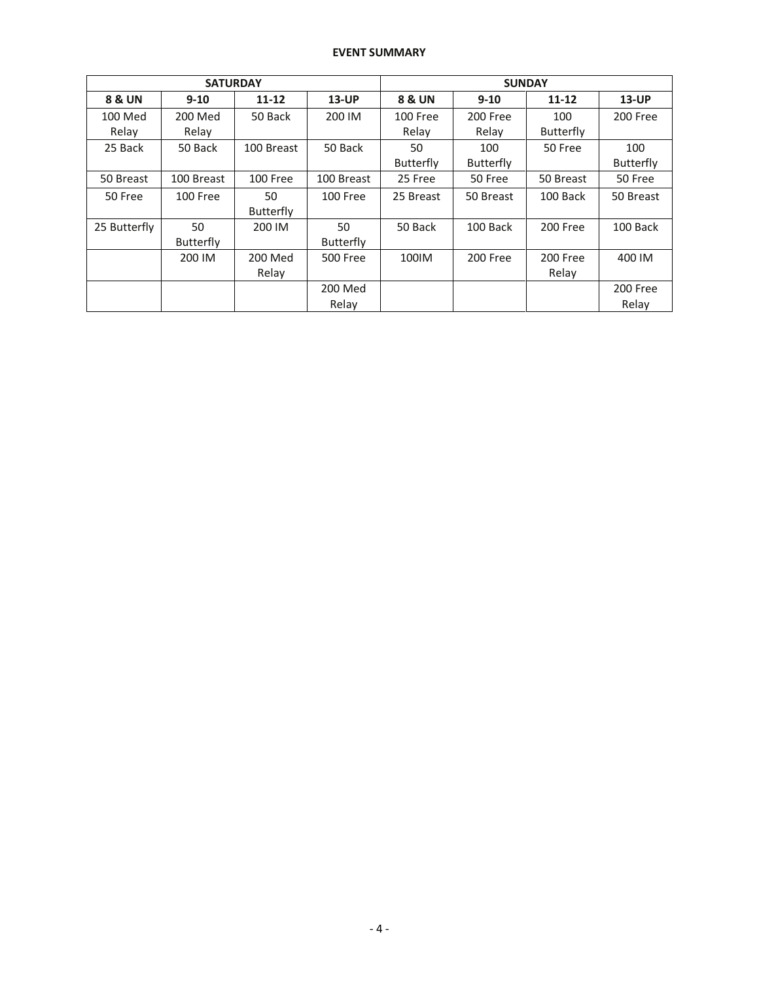## **EVENT SUMMARY**

|              | <b>SATURDAY</b>  |                  |                  | <b>SUNDAY</b>     |                  |                  |                  |  |  |
|--------------|------------------|------------------|------------------|-------------------|------------------|------------------|------------------|--|--|
| 8 & UN       | $9 - 10$         | $11 - 12$        | <b>13-UP</b>     | <b>8 &amp; UN</b> | $9 - 10$         | $11 - 12$        | <b>13-UP</b>     |  |  |
| 100 Med      | 200 Med          | 50 Back          | 200 IM           | 100 Free          | 200 Free         | 100              | 200 Free         |  |  |
| Relay        | Relay            |                  |                  | Relay             | Relay            | <b>Butterfly</b> |                  |  |  |
| 25 Back      | 50 Back          | 100 Breast       | 50 Back          | 50                | 100              | 50 Free          | 100              |  |  |
|              |                  |                  |                  | <b>Butterfly</b>  | <b>Butterfly</b> |                  | <b>Butterfly</b> |  |  |
| 50 Breast    | 100 Breast       | 100 Free         | 100 Breast       | 25 Free           | 50 Free          | 50 Breast        | 50 Free          |  |  |
| 50 Free      | 100 Free         | 50               | 100 Free         | 25 Breast         | 50 Breast        | 100 Back         | 50 Breast        |  |  |
|              |                  | <b>Butterfly</b> |                  |                   |                  |                  |                  |  |  |
| 25 Butterfly | 50               | 200 IM           | 50               | 50 Back           | 100 Back         | 200 Free         | 100 Back         |  |  |
|              | <b>Butterfly</b> |                  | <b>Butterfly</b> |                   |                  |                  |                  |  |  |
|              | 200 IM           | 200 Med          | <b>500 Free</b>  | 100IM             | 200 Free         | 200 Free         | 400 IM           |  |  |
|              |                  | Relay            |                  |                   |                  | Relay            |                  |  |  |
|              |                  |                  | 200 Med          |                   |                  |                  | 200 Free         |  |  |
|              |                  |                  | Relay            |                   |                  |                  | Relay            |  |  |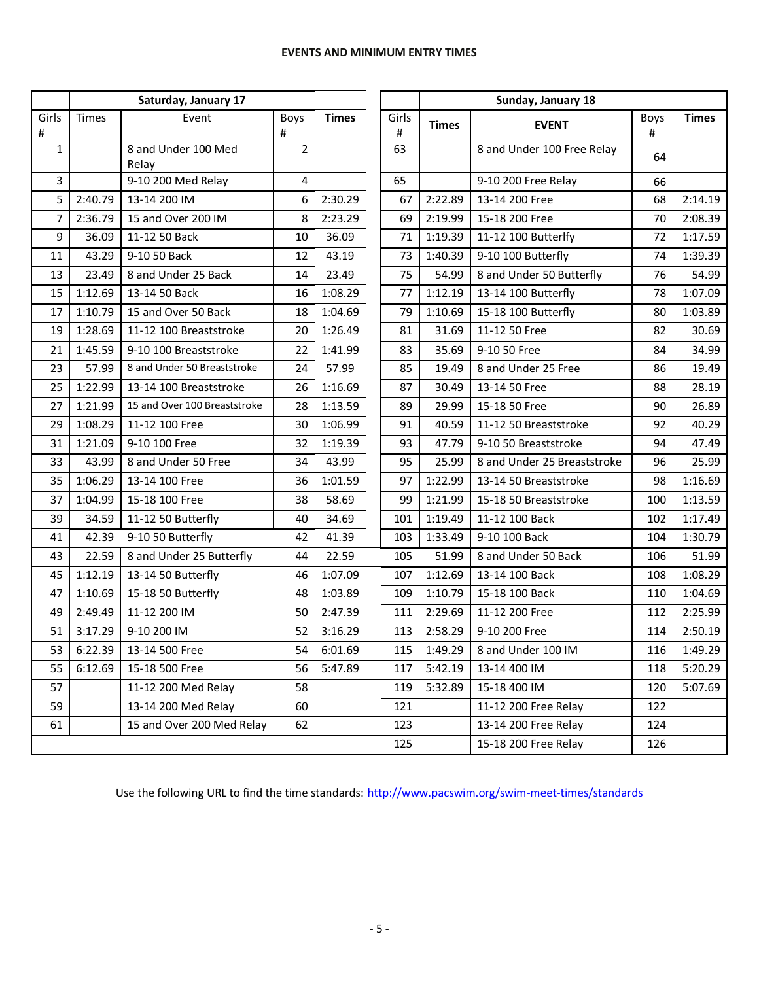| Saturday, January 17                  |              |                              |                |              |            |                               |                             |           |              |
|---------------------------------------|--------------|------------------------------|----------------|--------------|------------|-------------------------------|-----------------------------|-----------|--------------|
| Girls<br>#                            | <b>Times</b> | Event                        | Boys<br>#      | <b>Times</b> | Girls<br># | <b>Times</b><br><b>EVENT</b>  |                             | Boys<br># | <b>Times</b> |
| $\mathbf{1}$                          |              | 8 and Under 100 Med<br>Relay | $\overline{2}$ |              | 63         |                               | 8 and Under 100 Free Relay  | 64        |              |
| 3                                     |              | 9-10 200 Med Relay           | 4              |              | 65         | 9-10 200 Free Relay           |                             |           |              |
| 5                                     | 2:40.79      | 13-14 200 IM                 | 6              | 2:30.29      | 67         | 2:22.89                       | 13-14 200 Free              | 68        | 2:14.19      |
| 7                                     | 2:36.79      | 15 and Over 200 IM           | 8              | 2:23.29      | 69         | 2:19.99                       | 15-18 200 Free              | 70        | 2:08.39      |
| 9                                     | 36.09        | 11-12 50 Back                | 10             | 36.09        | 71         | 1:19.39                       | 11-12 100 Butterlfy         | 72        | 1:17.59      |
| 11                                    | 43.29        | 9-10 50 Back                 | 12             | 43.19        | 73         | 1:40.39                       | 9-10 100 Butterfly          | 74        | 1:39.39      |
| 13                                    | 23.49        | 8 and Under 25 Back          | 14             | 23.49        | 75         | 54.99                         | 8 and Under 50 Butterfly    | 76        | 54.99        |
| 15                                    | 1:12.69      | 13-14 50 Back                | 16             | 1:08.29      | 77         | 1:12.19                       | 13-14 100 Butterfly         | 78        | 1:07.09      |
| 17                                    | 1:10.79      | 15 and Over 50 Back          | 18             | 1:04.69      | 79         | 1:10.69                       | 15-18 100 Butterfly         | 80        | 1:03.89      |
| 19                                    | 1:28.69      | 11-12 100 Breaststroke       | 20             | 1:26.49      | 81         | 31.69                         | 11-12 50 Free               | 82        | 30.69        |
| 21                                    | 1:45.59      | 9-10 100 Breaststroke        | 22             | 1:41.99      | 83         | 35.69                         | 9-10 50 Free                | 84        | 34.99        |
| 23                                    | 57.99        | 8 and Under 50 Breaststroke  | 24             | 57.99        | 85         | 19.49                         | 8 and Under 25 Free         | 86        | 19.49        |
| 25                                    | 1:22.99      | 13-14 100 Breaststroke       | 26             | 1:16.69      | 87         | 30.49                         | 13-14 50 Free               | 88        | 28.19        |
| 27                                    | 1:21.99      | 15 and Over 100 Breaststroke | 28             | 1:13.59      | 89         | 29.99                         | 15-18 50 Free               | 90        | 26.89        |
| 29                                    | 1:08.29      | 11-12 100 Free               | 30             | 1:06.99      | 91         | 40.59                         | 11-12 50 Breaststroke       |           | 40.29        |
| 31                                    | 1:21.09      | 9-10 100 Free                | 32             | 1:19.39      | 93         | 47.79                         | 9-10 50 Breaststroke        | 94        | 47.49        |
| 33                                    | 43.99        | 8 and Under 50 Free          | 34             | 43.99        | 95         | 25.99                         | 8 and Under 25 Breaststroke | 96        | 25.99        |
| 35                                    | 1:06.29      | 13-14 100 Free               | 36             | 1:01.59      | 97         | 1:22.99                       | 13-14 50 Breaststroke       | 98        | 1:16.69      |
| 37                                    | 1:04.99      | 15-18 100 Free               | 38             | 58.69        | 99         | 1:21.99                       | 15-18 50 Breaststroke       | 100       | 1:13.59      |
| 39                                    | 34.59        | 11-12 50 Butterfly           | 40             | 34.69        | 101        | 1:19.49                       | 11-12 100 Back              | 102       | 1:17.49      |
| 41                                    | 42.39        | 9-10 50 Butterfly            | 42             | 41.39        | 103        | 1:33.49                       | 9-10 100 Back               | 104       | 1:30.79      |
| 43                                    | 22.59        | 8 and Under 25 Butterfly     | 44             | 22.59        | 105        | 51.99                         | 8 and Under 50 Back         | 106       | 51.99        |
| 45                                    | 1:12.19      | 13-14 50 Butterfly           | 46             | 1:07.09      | 107        | 1:12.69                       | 13-14 100 Back              | 108       | 1:08.29      |
| 47                                    | 1:10.69      | 15-18 50 Butterfly           | 48             | 1:03.89      | 109        | 1:10.79                       | 15-18 100 Back              | 110       | 1:04.69      |
| 49                                    | 2:49.49      | 11-12 200 IM                 | 50             | 2:47.39      | 111        | 2:29.69                       | 11-12 200 Free              |           | 2:25.99      |
| 51                                    | 3:17.29      | 9-10 200 IM                  | 52             | 3:16.29      | 113        | 2:58.29<br>9-10 200 Free      |                             | 114       | 2:50.19      |
| 53                                    | 6:22.39      | 13-14 500 Free               | 54             | 6:01.69      | 115        | 1:49.29<br>8 and Under 100 IM |                             | 116       | 1:49.29      |
| 55                                    | 6:12.69      | 15-18 500 Free               | 56             | 5:47.89      | 117        | 5:42.19<br>13-14 400 IM       |                             | 118       | 5:20.29      |
| 57                                    |              | 11-12 200 Med Relay          | 58             |              | 119        | 15-18 400 IM<br>5:32.89       |                             | 120       | 5:07.69      |
| 59                                    |              | 13-14 200 Med Relay          | 60             |              | 121        | 11-12 200 Free Relay          |                             | 122       |              |
| 61<br>15 and Over 200 Med Relay<br>62 |              |                              |                | 123          |            | 13-14 200 Free Relay          | 124                         |           |              |
|                                       |              |                              |                |              | 125        |                               | 15-18 200 Free Relay        | 126       |              |

Use the following URL to find the time standards: <http://www.pacswim.org/swim-meet-times/standards>